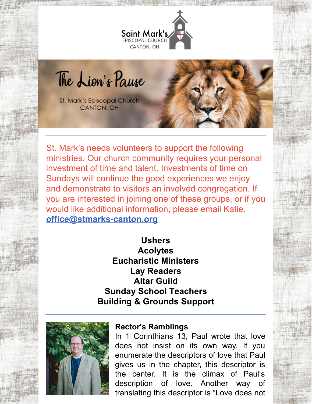

The Lion's Pause

St. Mark's Episcopal Church **CANTON, OH** 

St. Mark's needs volunteers to support the following ministries. Our church community requires your personal investment of time and talent. Investments of time on Sundays will continue the good experiences we enjoy and demonstrate to visitors an involved congregation. If you are interested in joining one of these groups, or if you would like additional information, please email Katie. **[office@stmarks-canton.org](mailto:office@stmarks-canton.org)**

# **Ushers Acolytes Eucharistic Ministers Lay Readers Altar Guild Sunday School Teachers Building & Grounds Support**



#### **Rector's Ramblings**

In 1 Corinthians 13, Paul wrote that love does not insist on its own way. If you enumerate the descriptors of love that Paul gives us in the chapter, this descriptor is the center. It is the climax of Paul's description of love. Another way of translating this descriptor is "Love does not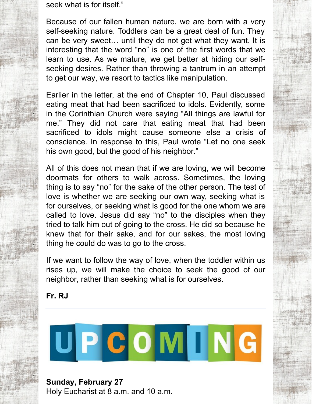seek what is for itself."

Because of our fallen human nature, we are born with a very self-seeking nature. Toddlers can be a great deal of fun. They can be very sweet… until they do not get what they want. It is interesting that the word "no" is one of the first words that we learn to use. As we mature, we get better at hiding our selfseeking desires. Rather than throwing a tantrum in an attempt to get our way, we resort to tactics like manipulation.

Earlier in the letter, at the end of Chapter 10, Paul discussed eating meat that had been sacrificed to idols. Evidently, some in the Corinthian Church were saying "All things are lawful for me." They did not care that eating meat that had been sacrificed to idols might cause someone else a crisis of conscience. In response to this, Paul wrote "Let no one seek his own good, but the good of his neighbor."

All of this does not mean that if we are loving, we will become doormats for others to walk across. Sometimes, the loving thing is to say "no" for the sake of the other person. The test of love is whether we are seeking our own way, seeking what is for ourselves, or seeking what is good for the one whom we are called to love. Jesus did say "no" to the disciples when they tried to talk him out of going to the cross. He did so because he knew that for their sake, and for our sakes, the most loving thing he could do was to go to the cross.

If we want to follow the way of love, when the toddler within us rises up, we will make the choice to seek the good of our neighbor, rather than seeking what is for ourselves.

**Fr. RJ**



**Sunday, February 27** Holy Eucharist at 8 a.m. and 10 a.m.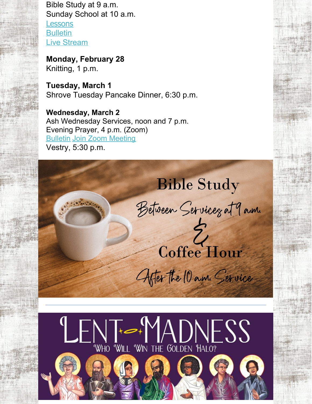Bible Study at 9 a.m. Sunday School at 10 a.m. [Lessons](https://www.lectionarypage.net/YearC_RCL/Epiphany/CEpiLast_RCL.html) **[Bulletin](https://files.constantcontact.com/32ed7374201/d08d3cf3-6dab-4e3b-b25d-d3852d3679c3.pdf)** Live [Stream](https://www.facebook.com/stmarks.canton)

**Monday, February 28** Knitting, 1 p.m.

**Tuesday, March 1** Shrove Tuesday Pancake Dinner, 6:30 p.m.

**Wednesday, March 2** Ash Wednesday Services, noon and 7 p.m. Evening Prayer, 4 p.m. (Zoom) [Bulletin](https://files.constantcontact.com/32ed7374201/f00b8f35-ff7c-4104-9ac2-3d0374958354.pdf) Join Zoom [Meeting](https://us06web.zoom.us/j/83539921680?pwd=ZTBUcWg0V2ZZNDl5Q1VuNFRPOXlJZz09) Vestry, 5:30 p.m.

**Bible Study** Between Servicez at 9 a.m.  $\frac{1}{2}$ 

Coffee Hour

After the 10 mm. Service

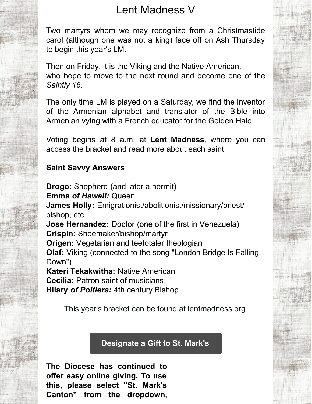# Lent Madness V

Two martyrs whom we may recognize from a Christmastide carol (although one was not a king) face off on Ash Thursday to begin this year's LM.

Then on Friday, it is the Viking and the Native American, who hope to move to the next round and become one of the *Saintly 16*.

The only time LM is played on a Saturday, we find the inventor of the Armenian alphabet and translator of the Bible into Armenian vying with a French educator for the Golden Halo.

Voting begins at 8 a.m. at **Lent [Madness](http://www.lentmadness.org)**, where you can access the bracket and read more about each saint.

## **Saint Savvy Answers**

**Drogo:** Shepherd (and later a hermit) **Emma** *of Hawaii:* Queen **James Holly:** Emigrationist/abolitionist/missionary/priest/ bishop, etc. **Jose Hernandez:** Doctor (one of the first in Venezuela) **Crispin:** Shoemaker**/**bishop/martyr **Origen:** Vegetarian and teetotaler theologian **Olaf:** Viking (connected to the song "London Bridge Is Falling Down") **Kateri Tekakwitha:** Native American **Cecilia:** Patron saint of musicians **Hilary** *of Poitiers:* 4th century Bishop

This year's bracket can be found at lentmadness.org

## **[Designate](https://dohio.org/designate-a-gift-to-your-parish) a Gift to St. Mark's**

**The Diocese has continued to offer easy online giving. To use this, please select "St. Mark's Canton" from the dropdown,**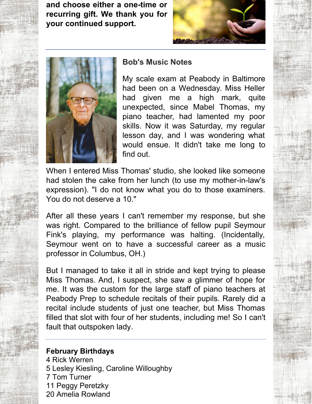**and choose either a one-time or recurring gift. We thank you for your continued support.**





#### **Bob's Music Notes**

My scale exam at Peabody in Baltimore had been on a Wednesday. Miss Heller had given me a high mark, quite unexpected, since Mabel Thomas, my piano teacher, had lamented my poor skills. Now it was Saturday, my regular lesson day, and I was wondering what would ensue. It didn't take me long to find out.

When I entered Miss Thomas' studio, she looked like someone had stolen the cake from her lunch (to use my mother-in-law's expression). "I do not know what you do to those examiners. You do not deserve a 10."

After all these years I can't remember my response, but she was right. Compared to the brilliance of fellow pupil Seymour Fink's playing, my performance was halting. (Incidentally, Seymour went on to have a successful career as a music professor in Columbus, OH.)

But I managed to take it all in stride and kept trying to please Miss Thomas. And, I suspect, she saw a glimmer of hope for me. It was the custom for the large staff of piano teachers at Peabody Prep to schedule recitals of their pupils. Rarely did a recital include students of just one teacher, but Miss Thomas filled that slot with four of her students, including me! So I can't fault that outspoken lady.

#### **February Birthdays**

 Rick Werren Lesley Kiesling, Caroline Willoughby Tom Turner Peggy Peretzky Amelia Rowland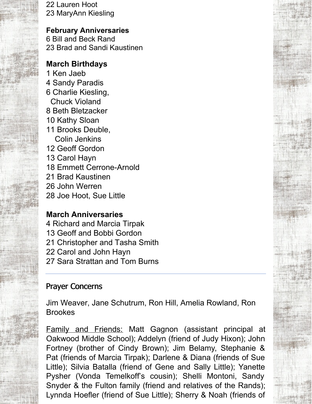22 Lauren Hoot 23 MaryAnn Kiesling

#### **February Anniversaries**

6 Bill and Beck Rand 23 Brad and Sandi Kaustinen

### **March Birthdays**

- 1 Ken Jaeb
- 4 Sandy Paradis
- 6 Charlie Kiesling, Chuck Violand
- 8 Beth Bletzacker
- 10 Kathy Sloan
- 11 Brooks Deuble, Colin Jenkins
- 12 Geoff Gordon
- 13 Carol Hayn
- 18 Emmett Cerrone-Arnold
- 21 Brad Kaustinen
- 26 John Werren
- 28 Joe Hoot, Sue Little

## **March Anniversaries**

- 4 Richard and Marcia Tirpak
- 13 Geoff and Bobbi Gordon
- 21 Christopher and Tasha Smith
- 22 Carol and John Hayn
- 27 Sara Strattan and Tom Burns

# Prayer Concerns

Jim Weaver, Jane Schutrum, Ron Hill, Amelia Rowland, Ron Brookes

Family and Friends: Matt Gagnon (assistant principal at Oakwood Middle School); Addelyn (friend of Judy Hixon); John Fortney (brother of Cindy Brown); Jim Belamy, Stephanie & Pat (friends of Marcia Tirpak); Darlene & Diana (friends of Sue Little); Silvia Batalla (friend of Gene and Sally Little); Yanette Pysher (Vonda Temelkoff's cousin); Shelli Montoni, Sandy Snyder & the Fulton family (friend and relatives of the Rands); Lynnda Hoefler (friend of Sue Little); Sherry & Noah (friends of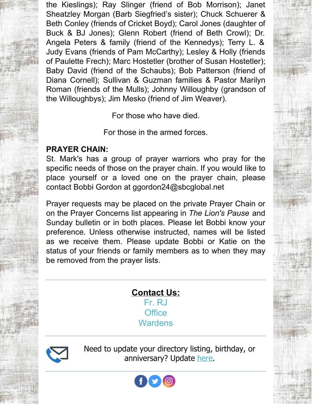the Kieslings); Ray Slinger (friend of Bob Morrison); Janet Sheatzley Morgan (Barb Siegfried's sister); Chuck Schuerer & Beth Conley (friends of Cricket Boyd); Carol Jones (daughter of Buck & BJ Jones); Glenn Robert (friend of Beth Crowl); Dr. Angela Peters & family (friend of the Kennedys); Terry L. & Judy Evans (friends of Pam McCarthy); Lesley & Holly (friends of Paulette Frech); Marc Hostetler (brother of Susan Hostetler); Baby David (friend of the Schaubs); Bob Patterson (friend of Diana Cornell); Sullivan & Guzman families & Pastor Marilyn Roman (friends of the Mulls); Johnny Willoughby (grandson of the Willoughbys); Jim Mesko (friend of Jim Weaver).

For those who have died.

For those in the armed forces.

# **PRAYER CHAIN:**

St. Mark's has a group of prayer warriors who pray for the specific needs of those on the prayer chain. If you would like to place yourself or a loved one on the prayer chain, please contact Bobbi Gordon at ggordon24@sbcglobal.net

Prayer requests may be placed on the private Prayer Chain or on the Prayer Concerns list appearing in *The Lion's Pause* and Sunday bulletin or in both places. Please let Bobbi know your preference. Unless otherwise instructed, names will be listed as we receive them. Please update Bobbi or Katie on the status of your friends or family members as to when they may be removed from the prayer lists.

## **Contact Us:** [Fr.](mailto:rjohnson@stmarks-canton.org) RJ **[Office](mailto:office@stmarks-canton.org) [Wardens](mailto:stmarkscantonwardens@gmail.com)**

Need to update your directory listing, birthday, or anniversary? Update [here](https://members.instantchurchdirectory.com/).